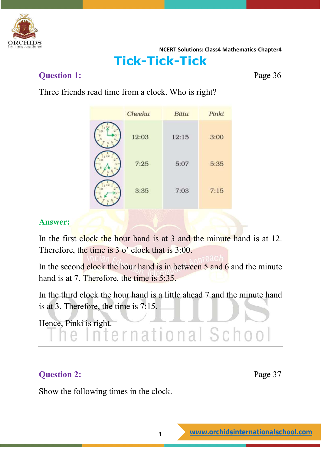

### **Tick-Tick-Tick**

#### **Question 1:** Page 36

Three friends read time from a clock. Who is right?

| Cheeku | Bittu | Pinki |
|--------|-------|-------|
| 12:03  | 12:15 | 3:00  |
| 7:25   | 5:07  | 5:35  |
| 3:35   | 7:03  | 7:15  |

#### **Answer:**

In the first clock the hour hand is at 3 and the minute hand is at 12. Therefore, the time is 3 o' clock that is 3:00.

In the second clock the hour hand is in between 5 and 6 and the minute hand is at 7. Therefore, the time is 5:35.

In the third clock the hour hand is a little ahead 7 and the minute hand is at 3. Therefore, the time is 7:15.

Hence, Pinki is right.<br> **In ellernational School** 

#### **Question 2:** Page 37

Show the following times in the clock.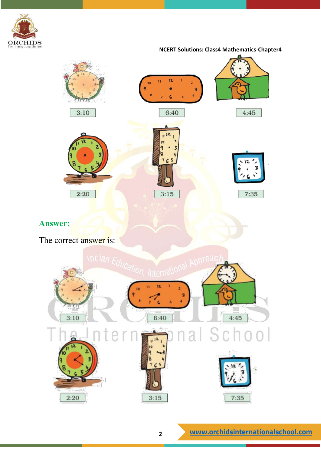



The correct answer is:

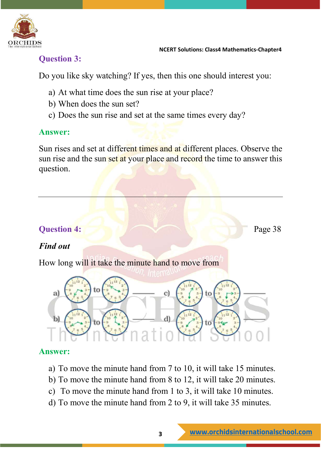

#### **Question 3:**

Do you like sky watching? If yes, then this one should interest you:

- a) At what time does the sun rise at your place?
- b) When does the sun set?
- c) Does the sun rise and set at the same times every day?

#### **Answer:**

Sun rises and set at different times and at different places. Observe the sun rise and the sun set at your place and record the time to answer this question.

#### **Question 4:** Page 38

#### *Find out*

How long will it take the minute hand to move from



#### **Answer:**

- a) To move the minute hand from 7 to 10, it will take 15 minutes.
- b) To move the minute hand from 8 to 12, it will take 20 minutes.
- c) To move the minute hand from 1 to 3, it will take 10 minutes.
- d) To move the minute hand from 2 to 9, it will take 35 minutes.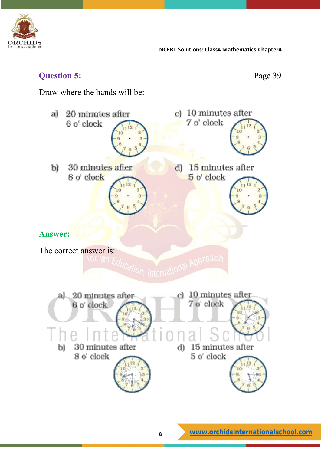

#### **Question 5:** Page 39

Draw where the hands will be:

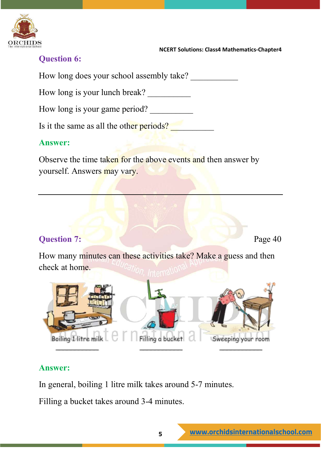

#### **Question 6:**

How long does your school assembly take?

How long is your lunch break?

How long is your game period?

Is it the same as all the other periods?

#### **Answer:**

Observe the time taken for the above events and then answer by yourself. Answers may vary.

#### **Question 7:** Page 40

How many minutes can these activities take? Make a guess and then check at home.



#### **Answer:**

In general, boiling 1 litre milk takes around 5-7 minutes.

Filling a bucket takes around 3-4 minutes.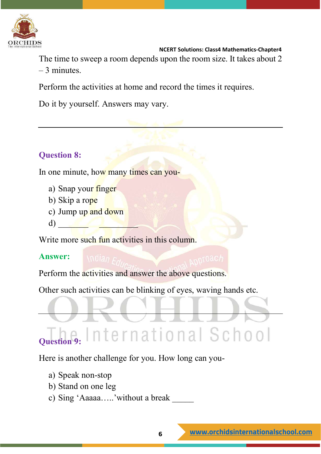

The time to sweep a room depends upon the room size. It takes about 2 – 3 minutes.

Perform the activities at home and record the times it requires.

Do it by yourself. Answers may vary.

#### **Question 8:**

In one minute, how many times can you-

- a) Snap your finger
- b) Skip a rope
- c) Jump up and down
- d)  $\qquad \qquad \blacksquare$

Write more such fun activities in this column.

#### **Answer:**

Perform the activities and answer the above questions.

Other such activities can be blinking of eyes, waving hands etc.

## **Question 2: International School**

Here is another challenge for you. How long can you-

- a) Speak non-stop
- b) Stand on one leg
- c) Sing 'Aaaaa.....'without a break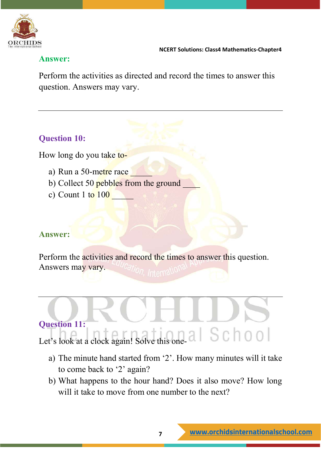

#### **Answer:**

Perform the activities as directed and record the times to answer this question. Answers may vary.

#### **Question 10:**

How long do you take to-

- a) Run a 50-metre race
- b) Collect 50 pebbles from the ground
- c) Count  $1 \text{ to } 100$

#### **Answer:**

Perform the activities and record the times to answer this question. Answers may vary.

# **Question 11:**  Let's look at a clock again! Solve this one- a  $\parallel$  S C  $\parallel$  0 0  $\parallel$

- a) The minute hand started from '2'. How many minutes will it take to come back to '2' again?
- b) What happens to the hour hand? Does it also move? How long will it take to move from one number to the next?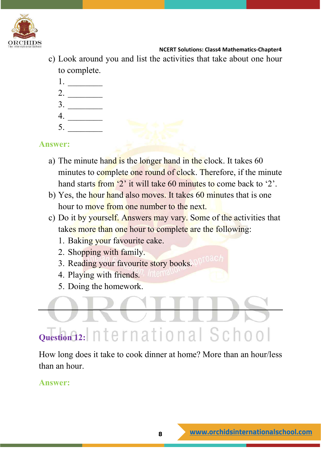

- c) Look around you and list the activities that take about one hour to complete.
	- 1. \_\_\_\_\_\_\_\_
	- 2. \_\_\_\_\_\_\_\_
	- $3.$
	- 4. \_\_\_\_\_\_\_\_
	- $5.$

**Answer:**

- a) The minute hand is the longer hand in the clock. It takes 60 minutes to complete one round of clock. Therefore, if the minute hand starts from '2' it will take 60 minutes to come back to '2'.
- b) Yes, the hour hand also moves. It takes 60 minutes that is one hour to move from one number to the next.
- c) Do it by yourself. Answers may vary. Some of the activities that takes more than one hour to complete are the following:
	- 1. Baking your favourite cake.
	- 2. Shopping with family.
	- 3. Reading your favourite story books.
	- 4. Playing with friends.
	- 5. Doing the homework.

# **Question 12:** nternational School

How long does it take to cook dinner at home? More than an hour/less than an hour.

**Answer:**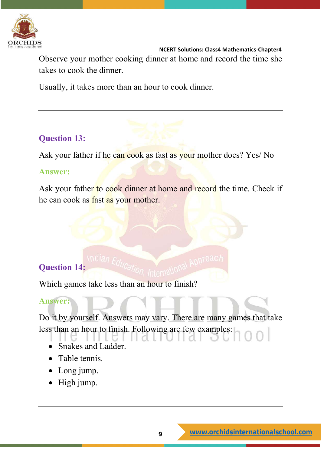

Observe your mother cooking dinner at home and record the time she takes to cook the dinner.

Usually, it takes more than an hour to cook dinner.

#### **Question 13:**

Ask your father if he can cook as fast as your mother does? Yes/ No

#### **Answer:**

Ask your father to cook dinner at home and record the time. Check if he can cook as fast as your mother.

#### **Question 14:**

Which games take less than an hour to finish?

#### **Answer:**

Do it by yourself. Answers may vary. There are many games that take less than an hour to finish. Following are few examples:

- Snakes and Ladder.
- Table tennis.
- Long jump.
- High jump.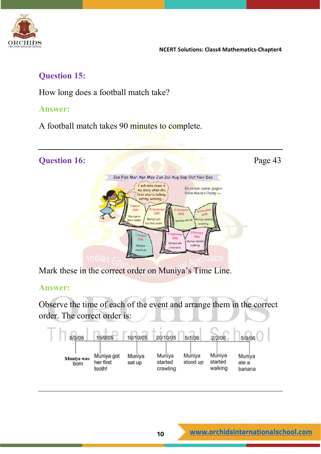

#### **Question 15:**

How long does a football match take?

#### **Answer:**

A football match takes 90 minutes to complete.



Mark these in the correct order on Muniya's Time Line.

#### **Answer:**

Observe the time of each of the event and arrange them in the correct order. The correct order is:

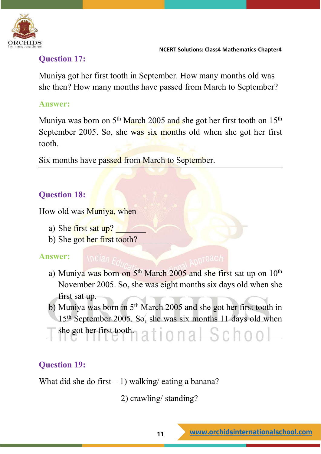

#### **Question 17:**

Muniya got her first tooth in September. How many months old was she then? How many months have passed from March to September?

#### **Answer:**

Muniya was born on  $5<sup>th</sup>$  March 2005 and she got her first tooth on  $15<sup>th</sup>$ September 2005. So, she was six months old when she got her first tooth.

Six months have passed from March to September.

### **Question 18:**

How old was Muniya, when

- a) She first sat  $up$ ?
- b) She got her first tooth?

#### **Answer:**

- a) Muniya was born on 5<sup>th</sup> March 2005 and she first sat up on 10<sup>th</sup> November 2005. So, she was eight months six days old when she first sat up.
- b) Muniya was born in  $5<sup>th</sup>$  March 2005 and she got her first tooth in 15th September 2005. So, she was six months 11 days old when
- she got her first tooth.<br>
a tional Schoo

#### **Question 19:**

What did she do first  $-1$ ) walking/ eating a banana?

2) crawling/ standing?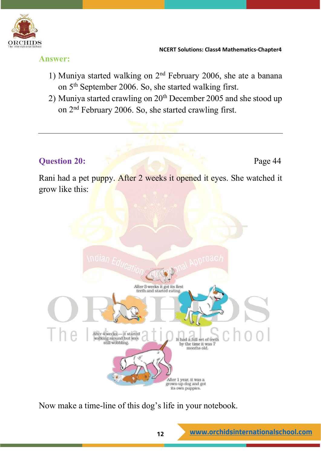

**Answer:**

- 1) Muniya started walking on  $2<sup>nd</sup>$  February 2006, she ate a banana on 5th September 2006. So, she started walking first.
- 2) Muniya started crawling on  $20<sup>th</sup>$  December 2005 and she stood up on 2nd February 2006. So, she started crawling first.

#### **Question 20:** Page 44

Rani had a pet puppy. After 2 weeks it opened it eyes. She watched it grow like this:



Now make a time-line of this dog's life in your notebook.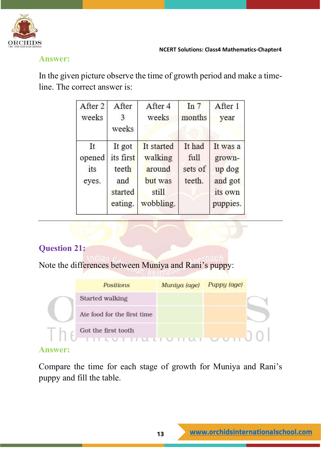

#### **Answer:**

In the given picture observe the time of growth period and make a timeline. The correct answer is:

| After 2<br>weeks             | After<br>3<br>weeks                                       | After 4<br>weeks                                                 | In $7$<br>months                    | After 1<br>year                                                |
|------------------------------|-----------------------------------------------------------|------------------------------------------------------------------|-------------------------------------|----------------------------------------------------------------|
| It<br>opened<br>its<br>eyes. | It got<br>its first<br>teeth<br>and<br>started<br>eating. | It started<br>walking<br>around<br>but was<br>still<br>wobbling. | It had<br>full<br>sets of<br>teeth. | It was a<br>grown-<br>up dog<br>and got<br>its own<br>puppies. |

#### **Question 21:**

Note the differences between Muniya and Rani's puppy:

|   | <b>Positions</b>            | Muniya (age) | Puppy (age) |
|---|-----------------------------|--------------|-------------|
|   | Started walking             |              |             |
|   | Ate food for the first time |              |             |
| I | Got the first tooth         |              |             |

#### **Answer:**

Compare the time for each stage of growth for Muniya and Rani's puppy and fill the table.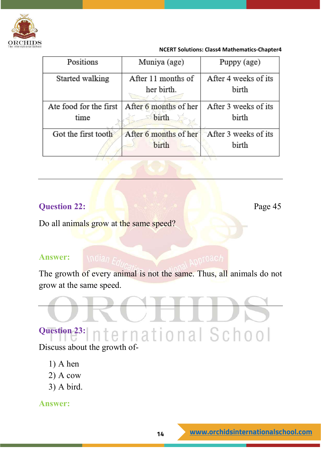

| Positions<br>Muniya (age) |                       | Puppy (age)          |
|---------------------------|-----------------------|----------------------|
| Started walking           | After 11 months of    | After 4 weeks of its |
|                           | her birth.            | birth                |
| Ate food for the first    | After 6 months of her | After 3 weeks of its |
| birth<br>time             |                       | birth                |
| Got the first tooth       | After 6 months of her | After 3 weeks of its |
|                           | birth                 | birth                |

#### **Question 22:** Page 45

#### Do all animals grow at the same speed?

#### **Answer:**

The growth of every animal is not the same. Thus, all animals do not grow at the same speed.

### **Question 23:** nternational School

Discuss about the growth of-

- 1) A hen
- 2) A cow
- 3) A bird.

**Answer:**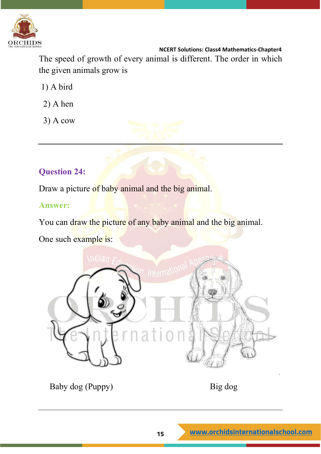

 **NCERT Solutions: Class4 Mathematics-Chapter4** The speed of growth of every animal is different. The order in which the given animals grow is

- 1) A bird
- 2) A hen
- 3) A cow

#### **Question 24:**

Draw a picture of baby animal and the big animal.

#### **Answer:**

You can draw the picture of any baby animal and the big animal.

One such example is:



Baby dog (Puppy) Big dog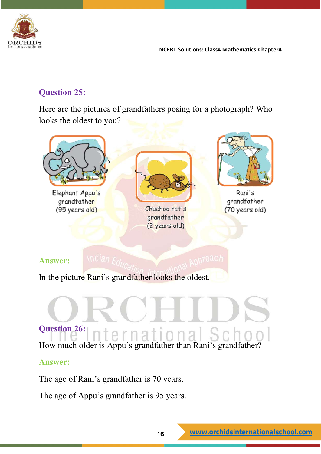

#### **Question 25:**

Here are the pictures of grandfathers posing for a photograph? Who looks the oldest to you?



#### **Question 26:**  1 Я How much older is Appu's grandfather than Rani's grandfather?

#### **Answer:**

The age of Rani's grandfather is 70 years.

The age of Appu's grandfather is 95 years.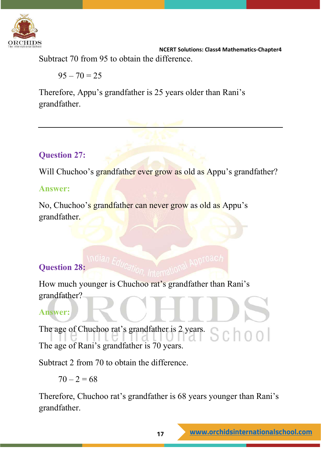

 **NCERT Solutions: Class4 Mathematics-Chapter4** Subtract 70 from 95 to obtain the difference.

 $95 - 70 = 25$ 

Therefore, Appu's grandfather is 25 years older than Rani's grandfather.

#### **Question 27:**

Will Chuchoo's grandfather ever grow as old as Appu's grandfather?

#### **Answer:**

No, Chuchoo's grandfather can never grow as old as Appu's grandfather.

#### **Question 28:**

How much younger is Chuchoo rat's grandfather than Rani's grandfather?

#### **Answer:**

The age of Chuchoo rat's grandfather is 2 years. The age of Rani's grandfather is 70 years.

Subtract 2 from 70 to obtain the difference.

 $70 - 2 = 68$ 

Therefore, Chuchoo rat's grandfather is 68 years younger than Rani's grandfather.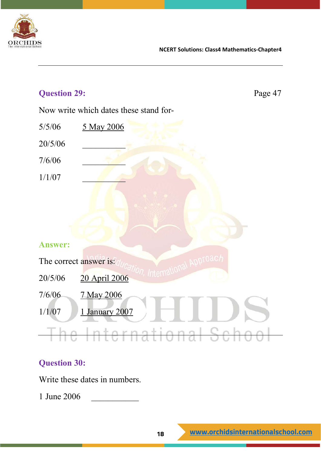

| <b>Question 29:</b> |                                        | Page 47 |
|---------------------|----------------------------------------|---------|
|                     | Now write which dates these stand for- |         |
| 5/5/06              | 5 May 2006                             |         |
| 20/5/06             |                                        |         |
| 7/6/06              |                                        |         |
| 1/1/07              |                                        |         |
|                     |                                        |         |
|                     |                                        |         |
|                     |                                        |         |
| <b>Answer:</b>      |                                        |         |
|                     | ADDTOach<br>The correct answer is:     |         |
| 20/5/06             | 20 April 2006                          |         |
| 7/6/06              | 7 May 2006                             |         |
| 1/1/07              | 1 January 2007                         |         |
|                     | <del>International Sc</del>            |         |

#### **Question 30:**

Write these dates in numbers.

1 June 2006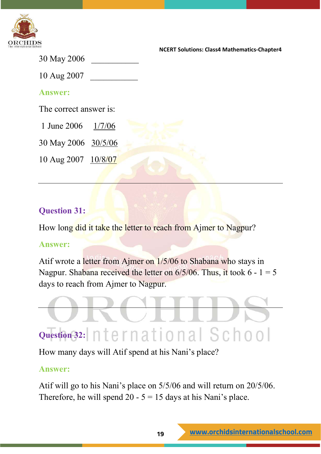

30 May 2006

10 Aug 2007 \_\_\_\_\_\_\_\_\_\_\_

#### **Answer:**

The correct answer is:

1 June 2006 1/7/06

30 May 2006 30/5/06

10 Aug 2007 10/8/07

#### **Question 31:**

How long did it take the letter to reach from Ajmer to Nagpur?

#### **Answer:**

Atif wrote a letter from Ajmer on 1/5/06 to Shabana who stays in Nagpur. Shabana received the letter on  $6/5/06$ . Thus, it took  $6 - 1 = 5$ days to reach from Ajmer to Nagpur.



How many days will Atif spend at his Nani's place?

#### **Answer:**

Atif will go to his Nani's place on 5/5/06 and will return on 20/5/06. Therefore, he will spend 20 -  $5 = 15$  days at his Nani's place.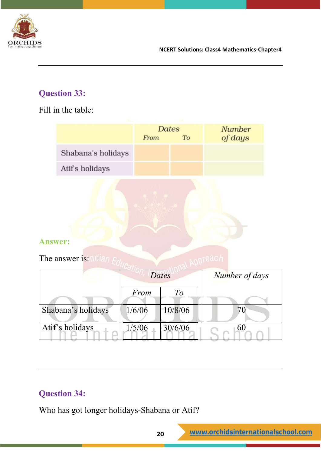

#### **Question 33:**

Fill in the table:

|                    | <b>Dates</b><br>From | To | <b>Number</b><br>of days |
|--------------------|----------------------|----|--------------------------|
| Shabana's holidays |                      |    |                          |
| Atif's holidays    |                      |    |                          |

#### **Answer:**

The answer is: Milan  $F_{cl}$ 

|                    | Dates  |         | Number of days |
|--------------------|--------|---------|----------------|
|                    | From   |         |                |
| Shabana's holidays | 1/6/06 | 10/8/06 |                |
| Atif's holidays    | 1/5/06 | 30/6/06 | 60             |

#### **Question 34:**

Who has got longer holidays-Shabana or Atif?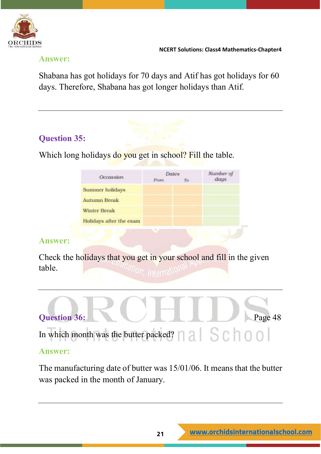

#### **Answer:**

Shabana has got holidays for 70 days and Atif has got holidays for 60 days. Therefore, Shabana has got longer holidays than Atif.

#### **Question 35:**

Which long holidays do you get in school? Fill the table.

| Occassion               | <b>Dates</b><br>From | To | Number of<br>days |
|-------------------------|----------------------|----|-------------------|
| Summer holidays         |                      |    |                   |
| <b>Autumn Break</b>     |                      |    |                   |
| <b>Winter Break</b>     |                      |    |                   |
| Holidays after the exam |                      |    |                   |

#### **Answer:**

Check the holidays that you get in your school and fill in the given table.



The manufacturing date of butter was 15/01/06. It means that the butter was packed in the month of January.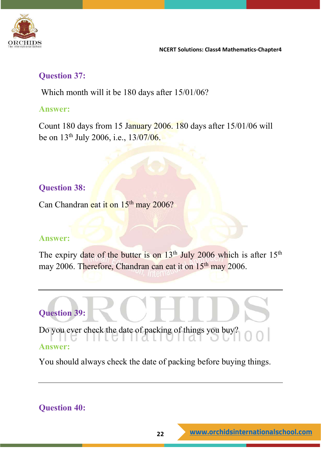

#### **Question 37:**

Which month will it be 180 days after 15/01/06?

#### **Answer:**

Count 180 days from 15 January 2006. 180 days after 15/01/06 will be on 13th July 2006, i.e., 13/07/06.

#### **Question 38:**

Can Chandran eat it on 15<sup>th</sup> may 2006?

#### **Answer:**

The expiry date of the butter is on  $13<sup>th</sup>$  July 2006 which is after  $15<sup>th</sup>$ may 2006. Therefore, Chandran can eat it on 15<sup>th</sup> may 2006.



Do you ever check the date of packing of things you buy?

#### **Answer:**

You should always check the date of packing before buying things.

#### **Question 40:**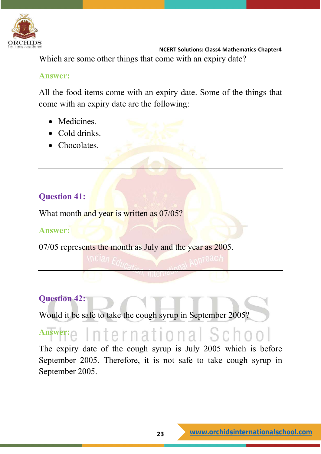

 **NCERT Solutions: Class4 Mathematics-Chapter4** Which are some other things that come with an expiry date?

#### **Answer:**

All the food items come with an expiry date. Some of the things that come with an expiry date are the following:

- Medicines.
- Cold drinks.
- Chocolates.

#### **Question 41:**

What month and year is written as 07/05?

#### **Answer:**

07/05 represents the month as July and the year as 2005.

#### **Question 42:**

Would it be safe to take the cough syrup in September 2005?

### Answer: e International Schoo

The expiry date of the cough syrup is July 2005 which is before September 2005. Therefore, it is not safe to take cough syrup in September 2005.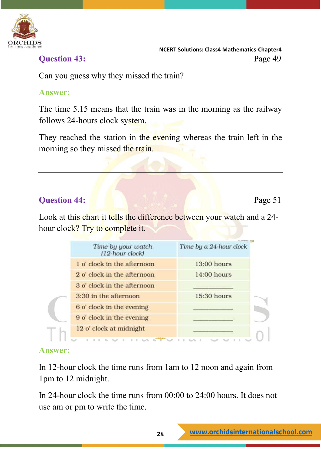

 **NCERT Solutions: Class4 Mathematics-Chapter4 Ouestion 43:** Page 49

Can you guess why they missed the train?

#### **Answer:**

The time 5.15 means that the train was in the morning as the railway follows 24-hours clock system.

They reached the station in the evening whereas the train left in the morning so they missed the train.

#### **Question 44:** Page 51

Look at this chart it tells the difference between your watch and a 24hour clock? Try to complete it.

| Time by your watch<br>(12-hour clock) | Time by a 24-hour clock |
|---------------------------------------|-------------------------|
| 1 o' clock in the afternoon           | $13:00$ hours           |
| 2 o' clock in the afternoon           | 14:00 hours             |
| 3 o' clock in the afternoon           |                         |
| 3:30 in the afternoon                 | 15:30 hours             |
| 6 o' clock in the evening             |                         |
| 9 o' clock in the evening             |                         |
| 12 o' clock at midnight               |                         |

#### **Answer:**

In 12-hour clock the time runs from 1am to 12 noon and again from 1pm to 12 midnight.

In 24-hour clock the time runs from 00:00 to 24:00 hours. It does not use am or pm to write the time.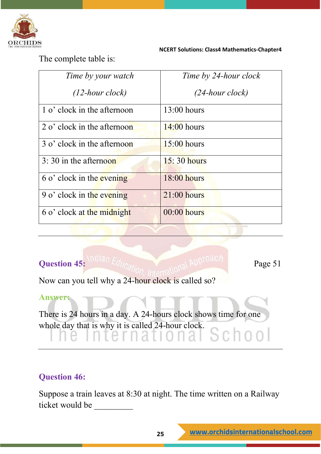

The complete table is:

| Time by your watch                    | Time by 24-hour clock |
|---------------------------------------|-----------------------|
| $(12$ -hour clock)                    | $(24$ -hour clock)    |
| 1 o' clock in the afternoon           | $13:00$ hours         |
| $2 \text{ o'}$ clock in the afternoon | $14:00$ hours         |
| 3 o' clock in the afternoon           | $15:00$ hours         |
| $3:30$ in the afternoon               | $15:30$ hours         |
| 6 o' clock in the evening             | $18:00$ hours         |
| 9 o' clock in the evening             | $21:00$ hours         |
| 6 o' clock at the midnight            | $00:00$ hours         |

#### **Question 45:** Page 51

a i

Now can you tell why a 24-hour clock is called so?

#### **Answer:**

There is 24 hours in a day. A 24-hours clock shows time for one whole day that is why it is called 24-hour clock. School

#### **Question 46:**

Suppose a train leaves at 8:30 at night. The time written on a Railway ticket would be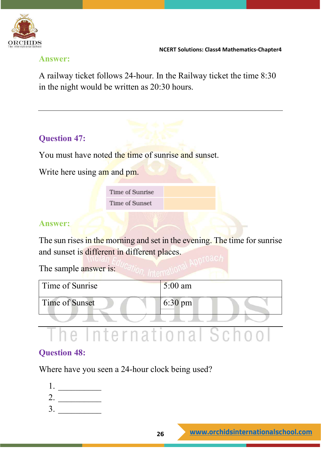

#### **Answer:**

A railway ticket follows 24-hour. In the Railway ticket the time 8:30 in the night would be written as 20:30 hours.

#### **Question 47:**

You must have noted the time of sunrise and sunset.

Write here using am and pm.

Time of Sunrise Time of Sunset

#### **Answer:**

The sun rises in the morning and set in the evening. The time for sunrise and sunset is different in different places.

The sample answer is: "Cation Internation

| Time of Sunrise | $5:00$ am         |
|-----------------|-------------------|
| Time of Sunset  | $6:30 \text{ pm}$ |
|                 |                   |

## The International School

#### **Question 48:**

Where have you seen a 24-hour clock being used?

1. \_\_\_\_\_\_\_\_\_\_ 2. \_\_\_\_\_\_\_\_\_\_ 3. \_\_\_\_\_\_\_\_\_\_